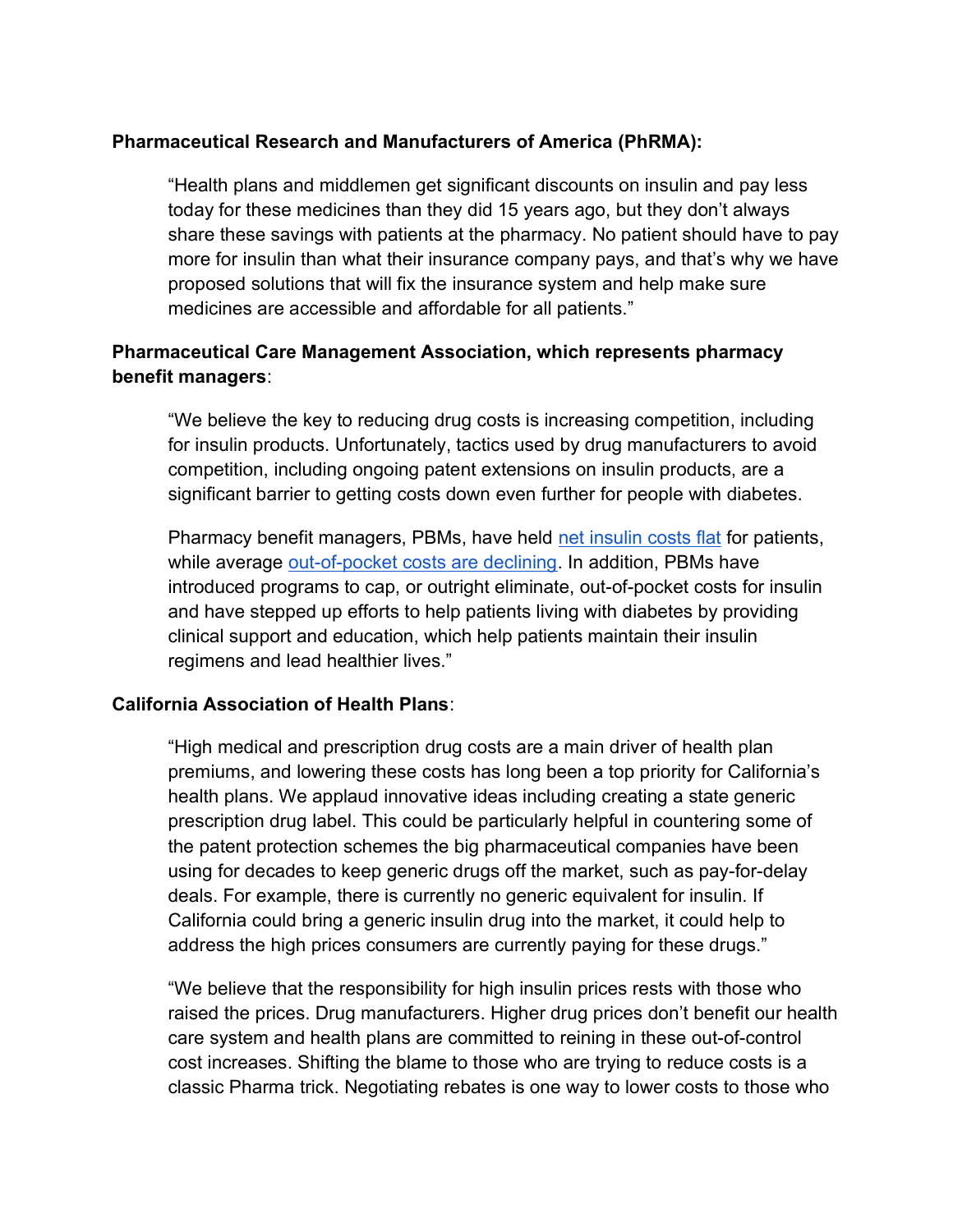## Pharmaceutical Research and Manufacturers of America (PhRMA):

"Health plans and middlemen get significant discounts on insulin and pay less today for these medicines than they did 15 years ago, but they don't always share these savings with patients at the pharmacy. No patient should have to pay more for insulin than what their insurance company pays, and that's why we have proposed solutions that will fix the insurance system and help make sure medicines are accessible and affordable for all patients."

## Pharmaceutical Care Management Association, which represents pharmacy benefit managers:

"We believe the key to reducing drug costs is increasing competition, including for insulin products. Unfortunately, tactics used by drug manufacturers to avoid competition, including ongoing patent extensions on insulin products, are a significant barrier to getting costs down even further for people with diabetes.

Pharmacy benefit managers, PBMs, have held net insulin costs flat for patients. while average out-of-pocket costs are declining. In addition, PBMs have introduced programs to cap, or outright eliminate, out-of-pocket costs for insulin and have stepped up efforts to help patients living with diabetes by providing clinical support and education, which help patients maintain their insulin regimens and lead healthier lives."

## California Association of Health Plans:

"High medical and prescription drug costs are a main driver of health plan premiums, and lowering these costs has long been a top priority for California's health plans. We applaud innovative ideas including creating a state generic prescription drug label. This could be particularly helpful in countering some of the patent protection schemes the big pharmaceutical companies have been using for decades to keep generic drugs off the market, such as pay-for-delay deals. For example, there is currently no generic equivalent for insulin. If California could bring a generic insulin drug into the market, it could help to address the high prices consumers are currently paying for these drugs."

"We believe that the responsibility for high insulin prices rests with those who raised the prices. Drug manufacturers. Higher drug prices don't benefit our health care system and health plans are committed to reining in these out-of-control cost increases. Shifting the blame to those who are trying to reduce costs is a classic Pharma trick. Negotiating rebates is one way to lower costs to those who